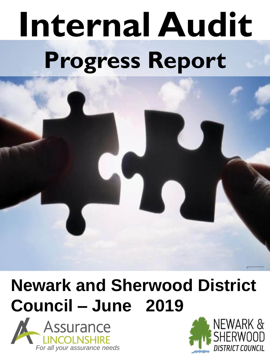# **Internal Audit Progress Report**

## **Newark and Sherwood District Council – June 2019**





Image Courtesy of the Official UK Puzzle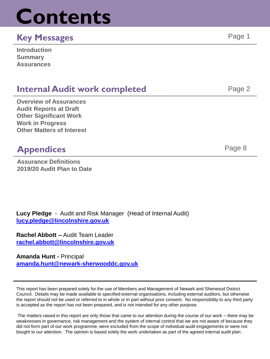## **Contents**

#### **Key Messages** Page 1

| <b>Introduction</b> |  |
|---------------------|--|
| <b>Summary</b>      |  |
| <b>Assurances</b>   |  |

#### **Internal Audit work completed Fage 2** Page 2

**Overview of Assurances Audit Reports at Draft Other Significant Work Work in Progress Other Matters of Interest**

#### **Appendices** Page 8

**Assurance Definitions 2019/20 Audit Plan to Date**

**Lucy Pledge** - Audit and Risk Manager (Head of Internal Audit) **[lucy.pledge@lincolnshire.gov.uk](mailto:Lucy.pledge@lincolnshire.gov.uk)**

**Rachel Abbott –** Audit Team Leader **[rachel.abbott@lincolnshire.gov.uk](mailto:rachel.abbott@lincolnshire.gov.uk)**

**Amanda Hunt -** Principal **[amanda.hunt@newark-sherwooddc.gov.uk](mailto:Lucy.pledge@lincolnshire.gov.uk)**

This report has been prepared solely for the use of Members and Management of Newark and Sherwood District Council. Details may be made available to specified external organisations, including external auditors, but otherwise the report should not be used or referred to in whole or in part without prior consent. No responsibility to any third party is accepted as the report has not been prepared, and is not intended for any other purpose.

The matters raised in this report are only those that came to our attention during the course of our work – there may be weaknesses in governance, risk management and the system of internal control that we are not aware of because they did not form part of our work programme, were excluded from the scope of individual audit engagements or were not bought to our attention. The opinion is based solely the work undertaken as part of the agreed internal audit plan.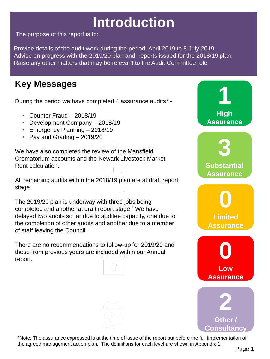## **Introduction**

The purpose of this report is to:

Provide details of the audit work during the period April 2019 to 8 July 2019 Advise on progress with the 2019/20 plan and reports issued for the 2018/19 plan. Raise any other matters that may be relevant to the Audit Committee role

### **Key Messages**

During the period we have completed 4 assurance audits\*:-

- Counter Fraud 2018/19
- Development Company 2018/19
- Emergency Planning 2018/19
- Pay and Grading 2019/20

We have also completed the review of the Mansfield Crematorium accounts and the Newark Livestock Market Rent calculation.

All remaining audits within the 2018/19 plan are at draft report stage.

The 2019/20 plan is underway with three jobs being completed and another at draft report stage. We have delayed two audits so far due to auditee capacity, one due to the completion of other audits and another due to a member of staff leaving the Council.

There are no recommendations to follow-up for 2019/20 and those from previous years are included within our Annual report.



\*Note: The assurance expressed is at the time of issue of the report but before the full implementation of the agreed management action plan. The definitions for each level are shown in Appendix 1.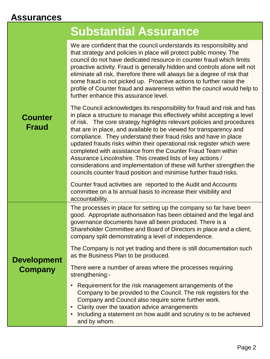#### **Assurances**

|                                | <b>Substantial Assurance</b>                                                                                                                                                                                                                                                                                                                                                                                                                                                                                                                                                                                                                                                                                                  |
|--------------------------------|-------------------------------------------------------------------------------------------------------------------------------------------------------------------------------------------------------------------------------------------------------------------------------------------------------------------------------------------------------------------------------------------------------------------------------------------------------------------------------------------------------------------------------------------------------------------------------------------------------------------------------------------------------------------------------------------------------------------------------|
| <b>Counter</b><br><b>Fraud</b> | We are confident that the council understands its responsibility and<br>that strategy and policies in place will protect public money. The<br>council do not have dedicated resource in counter fraud which limits<br>proactive activity. Fraud is generally hidden and controls alone will not<br>eliminate all risk, therefore there will always be a degree of risk that<br>some fraud is not picked up. Proactive actions to further raise the<br>profile of Counter fraud and awareness within the council would help to<br>further enhance this assurance level.                                                                                                                                                        |
|                                | The Council acknowledges its responsibility for fraud and risk and has<br>in place a structure to manage this effectively whilst accepting a level<br>of risk. The core strategy highlights relevant policies and procedures<br>that are in place, and available to be viewed for transparency and<br>compliance. They understand their fraud risks and have in place<br>updated frauds risks within their operational risk register which were<br>completed with assistance from the Counter Fraud Team within<br>Assurance Lincolnshire. This created lists of key actions /<br>considerations and implementation of these will further strengthen the<br>councils counter fraud position and minimise further fraud risks. |
|                                | Counter fraud activities are reported to the Audit and Accounts<br>committee on a bi annual basis to increase their visibility and<br>accountability.                                                                                                                                                                                                                                                                                                                                                                                                                                                                                                                                                                         |
| <b>Development</b><br>Company  | The processes in place for setting up the company so far have been<br>good. Appropriate authorisation has been obtained and the legal and<br>governance documents have all been produced. There is a<br>Shareholder Committee and Board of Directors in place and a client,<br>company split demonstrating a level of independence.                                                                                                                                                                                                                                                                                                                                                                                           |
|                                | The Company is not yet trading and there is still documentation such<br>as the Business Plan to be produced.                                                                                                                                                                                                                                                                                                                                                                                                                                                                                                                                                                                                                  |
|                                | There were a number of areas where the processes requiring<br>strengthening:-                                                                                                                                                                                                                                                                                                                                                                                                                                                                                                                                                                                                                                                 |
|                                | Requirement for the risk management arrangements of the<br>Company to be provided to the Council. The risk registers for the<br>Company and Council also require some further work.<br>Clarity over the taxation advice arrangements<br>Including a statement on how audit and scrutiny is to be achieved<br>and by whom.                                                                                                                                                                                                                                                                                                                                                                                                     |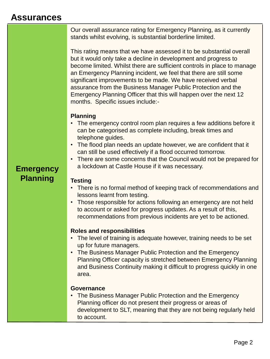#### **Assurances**

Our overall assurance rating for Emergency Planning, as it currently stands whilst evolving, is substantial borderline limited.

This rating means that we have assessed it to be substantial overall but it would only take a decline in development and progress to become limited. Whilst there are sufficient controls in place to manage an Emergency Planning incident, we feel that there are still some significant improvements to be made. We have received verbal assurance from the Business Manager Public Protection and the Emergency Planning Officer that this will happen over the next 12 months. Specific issues include:-

#### **Planning**

- The emergency control room plan requires a few additions before it can be categorised as complete including, break times and telephone guides.
- The flood plan needs an update however, we are confident that it can still be used effectively if a flood occurred tomorrow.
- There are some concerns that the Council would not be prepared for a lockdown at Castle House if it was necessary.

#### **Emergency Planning**

#### **Testing**

- There is no formal method of keeping track of recommendations and lessons learnt from testing.
- Those responsible for actions following an emergency are not held to account or asked for progress updates. As a result of this, recommendations from previous incidents are yet to be actioned.

#### **Roles and responsibilities**

- The level of training is adequate however, training needs to be set up for future managers.
- The Business Manager Public Protection and the Emergency Planning Officer capacity is stretched between Emergency Planning and Business Continuity making it difficult to progress quickly in one area.

#### **Governance**

• The Business Manager Public Protection and the Emergency Planning officer do not present their progress or areas of development to SLT, meaning that they are not being regularly held to account.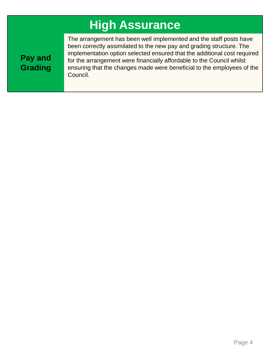## **High Assurance**

**Pay and Grading** The arrangement has been well implemented and the staff posts have been correctly assimilated to the new pay and grading structure. The implementation option selected ensured that the additional cost required for the arrangement were financially affordable to the Council whilst ensuring that the changes made were beneficial to the employees of the Council.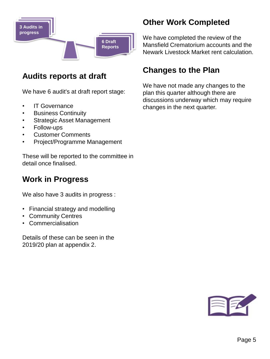

#### **Audits reports at draft**

We have 6 audit's at draft report stage:

- IT Governance
- Business Continuity
- Strategic Asset Management
- Follow-ups
- Customer Comments
- Project/Programme Management

These will be reported to the committee in detail once finalised.

#### **Work in Progress**

We also have 3 audits in progress :

- Financial strategy and modelling
- Community Centres
- Commercialisation

Details of these can be seen in the 2019/20 plan at appendix 2.

#### **Other Work Completed**

We have completed the review of the Mansfield Crematorium accounts and the Newark Livestock Market rent calculation.

#### **Changes to the Plan**

We have not made any changes to the plan this quarter although there are discussions underway which may require changes in the next quarter.

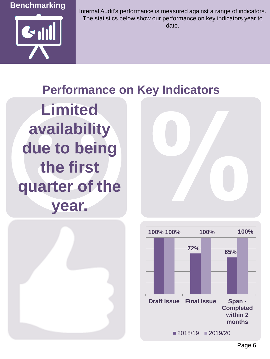



Internal Audit's performance is measured against a range of indicators. The statistics below show our performance on key indicators year to date.

### **Performance on Key Indicators**

**Limited availability due to being the first quarter of the year.**





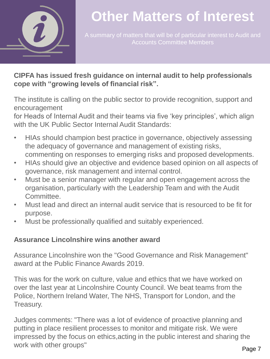

## **Other Matters of Interest**

#### **CIPFA has issued fresh guidance on internal audit to help professionals cope with "growing levels of financial risk".**

The institute is calling on the public sector to provide recognition, support and encouragement

for Heads of Internal Audit and their teams via five 'key principles', which align with the UK Public Sector Internal Audit Standards:

- HIAs should champion best practice in governance, objectively assessing the adequacy of governance and management of existing risks, commenting on responses to emerging risks and proposed developments.
- HIAs should give an objective and evidence based opinion on all aspects of governance, risk management and internal control.
- Must be a senior manager with regular and open engagement across the organisation, particularly with the Leadership Team and with the Audit Committee.
- Must lead and direct an internal audit service that is resourced to be fit for purpose.
- Must be professionally qualified and suitably experienced.

#### **Assurance Lincolnshire wins another award**

Assurance Lincolnshire won the "Good Governance and Risk Management" award at the Public Finance Awards 2019.

This was for the work on culture, value and ethics that we have worked on over the last year at Lincolnshire County Council. We beat teams from the Police, Northern Ireland Water, The NHS, Transport for London, and the Treasury.

Judges comments: "There was a lot of evidence of proactive planning and putting in place resilient processes to monitor and mitigate risk. We were impressed by the focus on ethics,acting in the public interest and sharing the work with other groups"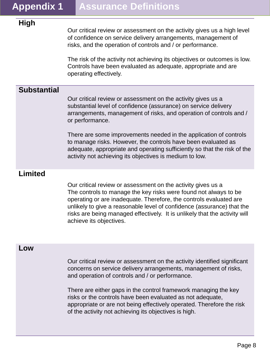#### **High**

Our critical review or assessment on the activity gives us a high level of confidence on service delivery arrangements, management of risks, and the operation of controls and / or performance.

The risk of the activity not achieving its objectives or outcomes is low. Controls have been evaluated as adequate, appropriate and are operating effectively.

#### **Substantial**

Our critical review or assessment on the activity gives us a substantial level of confidence (assurance) on service delivery arrangements, management of risks, and operation of controls and / or performance.

There are some improvements needed in the application of controls to manage risks. However, the controls have been evaluated as adequate, appropriate and operating sufficiently so that the risk of the activity not achieving its objectives is medium to low.

#### **Limited**

Our critical review or assessment on the activity gives us a The controls to manage the key risks were found not always to be operating or are inadequate. Therefore, the controls evaluated are unlikely to give a reasonable level of confidence (assurance) that the risks are being managed effectively. It is unlikely that the activity will achieve its objectives.

#### **Low**

Our critical review or assessment on the activity identified significant concerns on service delivery arrangements, management of risks, and operation of controls and / or performance.

There are either gaps in the control framework managing the key risks or the controls have been evaluated as not adequate, appropriate or are not being effectively operated. Therefore the risk of the activity not achieving its objectives is high.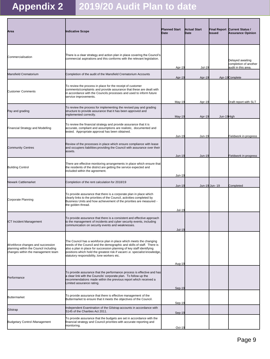## **Appendix 2 2019/20 Audit Plan to date**

| Area                                                                                                            | Indicative Scope                                                                                                                                                                                                                                                                                                                                    | <b>Planned Start</b><br><b>Date</b> | <b>Actual Start</b><br>Date | Issued         | Final Report Current Status /<br><b>Assurance Opinion</b>        |
|-----------------------------------------------------------------------------------------------------------------|-----------------------------------------------------------------------------------------------------------------------------------------------------------------------------------------------------------------------------------------------------------------------------------------------------------------------------------------------------|-------------------------------------|-----------------------------|----------------|------------------------------------------------------------------|
| Commercialisation                                                                                               | There is a clear strategy and action plan in place covering the Council's<br>commercial aspirations and this conforms with the relevant legislation.                                                                                                                                                                                                | Apr-19                              | $Jul-19$                    |                | Delayed awaiting<br>completion of another<br>audit in this area. |
| Mansfield Crematorium                                                                                           | Completion of the audit of the Mansfield Crematorium Accounts                                                                                                                                                                                                                                                                                       | Apr-19                              | Apr-19                      |                | Apr-19Complete                                                   |
| <b>Customer Comments</b>                                                                                        | To review the process in place for the receipt of customer<br>comments/complaints and provide assurance that these are dealt with<br>in accordance with the Councils processes and used to inform future<br>service improvements.                                                                                                                   | May-19                              | Apr-19                      |                | Draft report with SLT                                            |
| Pay and grading                                                                                                 | To review the process for implementing the revised pay and grading<br>structure to provide assurance that it has been approved and<br>implemented correctly.                                                                                                                                                                                        | $May-19$                            | Apr-19                      | Jun-19High     |                                                                  |
| Financial Strategy and Modelling                                                                                | To review the financial strategy and provide assurance that it is<br>accurate, compliant and assumptions are realistic, documented and<br>tested. Appropriate approval has been obtained.                                                                                                                                                           | Jun-19                              | Jun-19                      |                | Fieldwork in progress                                            |
| <b>Community Centres</b>                                                                                        | Review of the processes in place which ensure compliance with lease<br>and occupiers liabilities providing the Council with assurance over their<br>assets.                                                                                                                                                                                         | $Jun-19$                            | $Jun-19$                    |                | Fieldwork in progress                                            |
| <b>Building Control</b>                                                                                         | There are effective monitoring arrangements in place which ensure that<br>the residents of the district are getting the service expected and<br>included within the agreement.                                                                                                                                                                      | Jun-19                              |                             |                |                                                                  |
| Newark Cattlemarket                                                                                             | Completion of the rent calculation for 2018/19                                                                                                                                                                                                                                                                                                      | <u>Jun-19</u>                       |                             | Jun-19 Jun- 19 | Completed                                                        |
| Corporate Planning                                                                                              | To provide assurance that there is a corporate plan in place which<br>clearly links to the priorities of the Council, activities completed by<br>Business Units and how achievement of the priorities are measured -<br>the golden thread.                                                                                                          | Jul-19                              |                             |                |                                                                  |
| ICT Incident Management                                                                                         | To provide assurance that there is a consistent and effective approach<br>to the management of incidents and cyber security events, including<br>communication on security events and weaknesses.                                                                                                                                                   | Jul-19                              |                             |                |                                                                  |
| Workforce changes and succession<br>planning within the Council including<br>changes within the management team | The Council has a workforce plan in place which meets the changing<br>needs of the Council and the demographic and skills of staff. There is<br>also a plan in place for succession planning of key staff identifying<br>positions which hold the greatest risk if vacant i.e. specialist knowledge,<br>statutory responsibility, lone workers etc. |                                     |                             |                |                                                                  |
| Performance                                                                                                     | To provide assurance that the performance process is effective and has<br>a clear link with the Councils' corporate plan. To follow up the<br>recommendations made within the previous report which received a<br>Limited assurance rating.                                                                                                         | Aug-19<br>Sep-19                    |                             |                |                                                                  |
| <b>Buttermarket</b>                                                                                             | To provide assurance that there is effective management of the<br>Buttermarket to ensure that it meets the objectives of the Council.                                                                                                                                                                                                               | Sep-19                              |                             |                |                                                                  |
| Gilstrap                                                                                                        | Independent Examination of the Gilstrap accounts in accordance with<br>S145 of the Charities Act 2011.                                                                                                                                                                                                                                              | Sep-19                              |                             |                |                                                                  |
| <b>Budgetary Control /Management</b>                                                                            | To provide assurance that the budgets are set in accordance with the<br>financial strategy and Council priorities with accurate reporting and<br>monitoring.                                                                                                                                                                                        | Oct-19                              |                             |                |                                                                  |